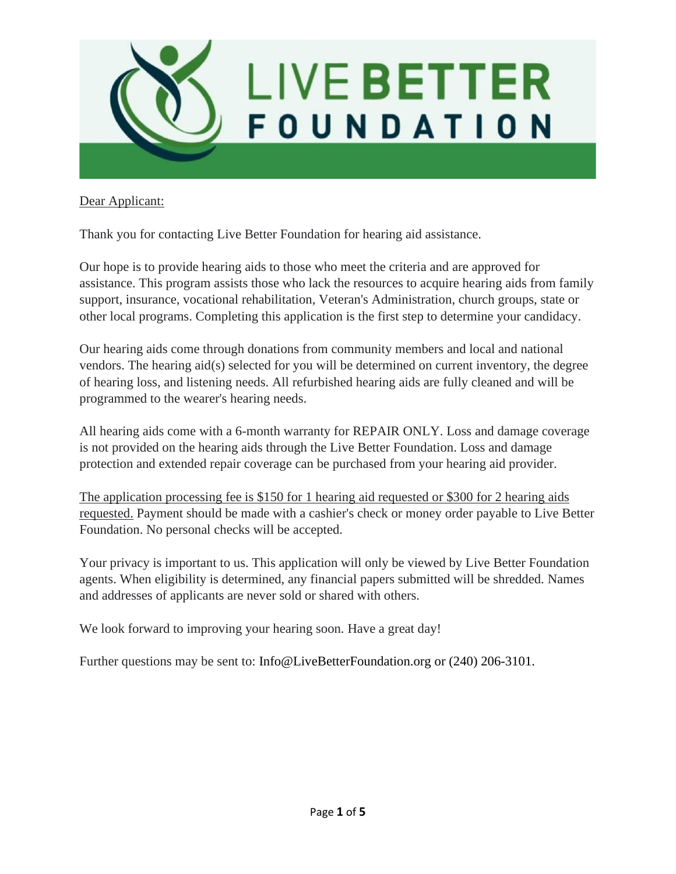

# Dear Applicant:

Thank you for contacting Live Better Foundation for hearing aid assistance.

Our hope is to provide hearing aids to those who meet the criteria and are approved for assistance. This program assists those who lack the resources to acquire hearing aids from family support, insurance, vocational rehabilitation, Veteran's Administration, church groups, state or other local programs. Completing this application is the first step to determine your candidacy.

Our hearing aids come through donations from community members and local and national vendors. The hearing aid(s) selected for you will be determined on current inventory, the degree of hearing loss, and listening needs. All refurbished hearing aids are fully cleaned and will be programmed to the wearer's hearing needs.

All hearing aids come with a 6-month warranty for REPAIR ONLY. Loss and damage coverage is not provided on the hearing aids through the Live Better Foundation. Loss and damage protection and extended repair coverage can be purchased from your hearing aid provider.

The application processing fee is \$150 for 1 hearing aid requested or \$300 for 2 hearing aids requested. Payment should be made with a cashier's check or money order payable to Live Better Foundation. No personal checks will be accepted.

Your privacy is important to us. This application will only be viewed by Live Better Foundation agents. When eligibility is determined, any financial papers submitted will be shredded. Names and addresses of applicants are never sold or shared with others.

We look forward to improving your hearing soon. Have a great day!

Further questions may be sent to: Info@LiveBetterFoundation.org or (240) 206-3101.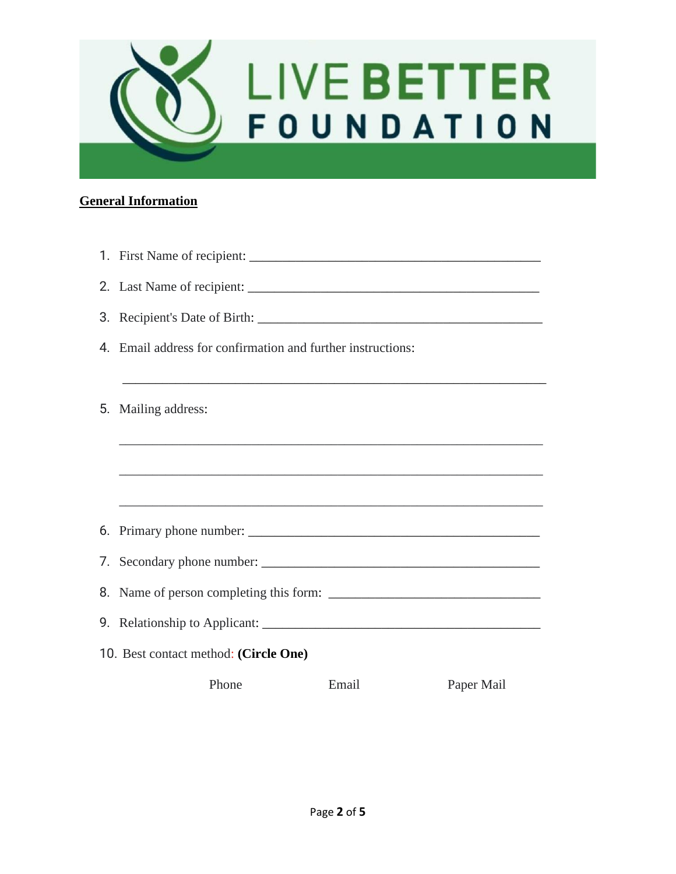

# **General Information**

|                                       | 4. Email address for confirmation and further instructions: |       |            |  |  |
|---------------------------------------|-------------------------------------------------------------|-------|------------|--|--|
|                                       |                                                             |       |            |  |  |
| 5.                                    | Mailing address:                                            |       |            |  |  |
|                                       |                                                             |       |            |  |  |
|                                       |                                                             |       |            |  |  |
|                                       |                                                             |       |            |  |  |
|                                       |                                                             |       |            |  |  |
|                                       |                                                             |       |            |  |  |
|                                       | 8. Name of person completing this form:                     |       |            |  |  |
|                                       |                                                             |       |            |  |  |
| 10. Best contact method: (Circle One) |                                                             |       |            |  |  |
|                                       | Phone                                                       | Email | Paper Mail |  |  |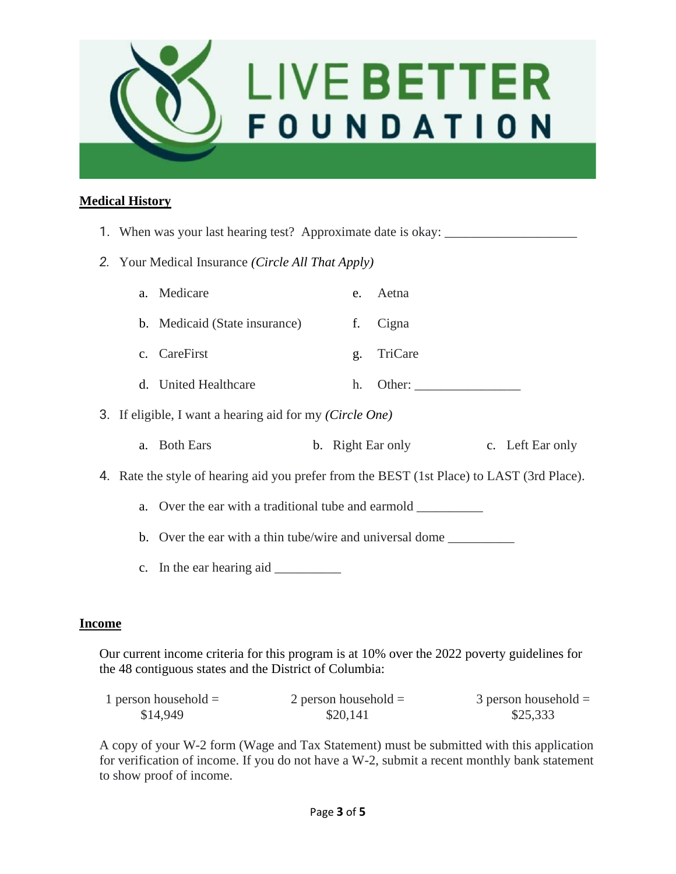

### **Medical History**

- 1. When was your last hearing test? Approximate date is okay:
- *2.* Your Medical Insurance *(Circle All That Apply)*

| a. Medicare                   | e. Aetna |
|-------------------------------|----------|
| b. Medicaid (State insurance) | f. Cigna |

- c. CareFirst g. TriCare
- d. United Healthcare h. Other: \_\_\_\_\_\_\_\_\_\_\_\_\_\_\_\_
- 3. If eligible, I want a hearing aid for my *(Circle One)*
	- a. Both Ears b. Right Ear only c. Left Ear only
- 4. Rate the style of hearing aid you prefer from the BEST (1st Place) to LAST (3rd Place).
	- a. Over the ear with a traditional tube and earmold
	- b. Over the ear with a thin tube/wire and universal dome
	- c. In the ear hearing aid \_\_\_\_\_\_\_\_\_\_

#### **Income**

Our current income criteria for this program is at 10% over the 2022 poverty guidelines for the 48 contiguous states and the District of Columbia:

| 1 person household $=$ | 2 person household $=$ | $3$ person household $=$ |
|------------------------|------------------------|--------------------------|
| \$14,949               | \$20,141               | \$25,333                 |

A copy of your W-2 form (Wage and Tax Statement) must be submitted with this application for verification of income. If you do not have a W-2, submit a recent monthly bank statement to show proof of income.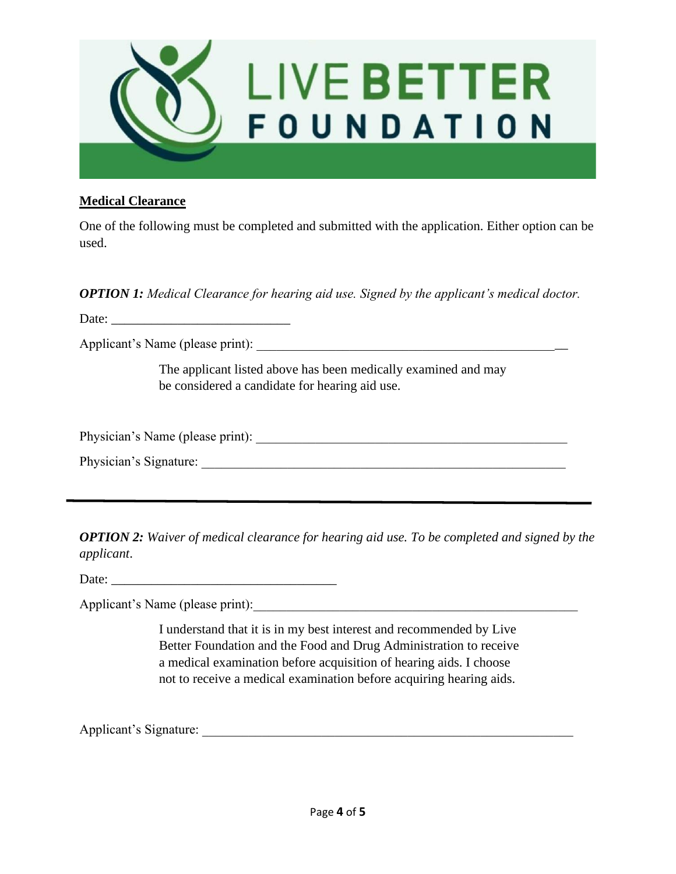

### **Medical Clearance**

One of the following must be completed and submitted with the application. Either option can be used.

*OPTION 1: Medical Clearance for hearing aid use. Signed by the applicant's medical doctor.*

Date:

Applicant's Name (please print):

The applicant listed above has been medically examined and may be considered a candidate for hearing aid use.

Physician's Name (please print):

Physician's Signature:

*OPTION 2: Waiver of medical clearance for hearing aid use. To be completed and signed by the applicant*.

Date: \_\_\_\_\_\_\_\_\_\_\_\_\_\_\_\_\_\_\_\_\_\_\_\_\_\_\_\_\_\_\_\_\_\_

Applicant's Name (please print):

I understand that it is in my best interest and recommended by Live Better Foundation and the Food and Drug Administration to receive a medical examination before acquisition of hearing aids. I choose not to receive a medical examination before acquiring hearing aids.

Applicant's Signature: